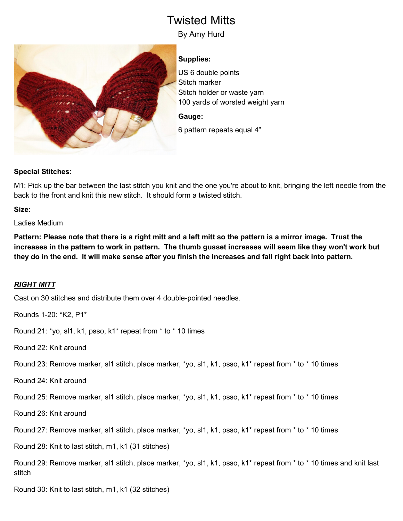# Twisted Mitts

By Amy Hurd



## **Supplies:**

US 6 double points Stitch marker Stitch holder or waste yarn 100 yards of worsted weight yarn

#### **Gauge:**

6 pattern repeats equal 4"

### **Special Stitches:**

M1: Pick up the bar between the last stitch you knit and the one you're about to knit, bringing the left needle from the back to the front and knit this new stitch. It should form a twisted stitch.

**Size:**

Ladies Medium

**Pattern: Please note that there is a right mitt and a left mitt so the pattern is a mirror image. Trust the increases in the pattern to work in pattern. The thumb gusset increases will seem like they won't work but they do in the end. It will make sense after you finish the increases and fall right back into pattern.**

### *RIGHT MITT*

Cast on 30 stitches and distribute them over 4 double-pointed needles.

Rounds 1-20: \*K2, P1\*

Round 21: \*yo, sl1, k1, psso, k1\* repeat from \* to \* 10 times

Round 22: Knit around

Round 23: Remove marker, sl1 stitch, place marker, \*yo, sl1, k1, psso, k1\* repeat from \* to \* 10 times

Round 24: Knit around

Round 25: Remove marker, sl1 stitch, place marker, \*yo, sl1, k1, psso, k1\* repeat from \* to \* 10 times

Round 26: Knit around

Round 27: Remove marker, sl1 stitch, place marker, \*yo, sl1, k1, psso, k1\* repeat from \* to \* 10 times

Round 28: Knit to last stitch, m1, k1 (31 stitches)

Round 29: Remove marker, sl1 stitch, place marker, \*yo, sl1, k1, psso, k1\* repeat from \* to \* 10 times and knit last stitch

Round 30: Knit to last stitch, m1, k1 (32 stitches)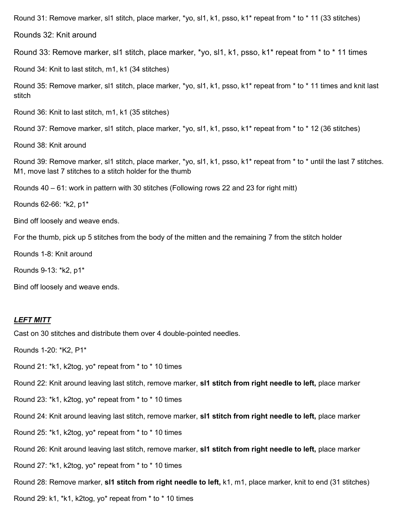Round 31: Remove marker, sl1 stitch, place marker, \*yo, sl1, k1, psso, k1\* repeat from \* to \* 11 (33 stitches)

Rounds 32: Knit around

Round 33: Remove marker, sl1 stitch, place marker, \*yo, sl1, k1, psso, k1\* repeat from \* to \* 11 times

Round 34: Knit to last stitch, m1, k1 (34 stitches)

Round 35: Remove marker, sl1 stitch, place marker, \*yo, sl1, k1, psso, k1\* repeat from \* to \* 11 times and knit last stitch

Round 36: Knit to last stitch, m1, k1 (35 stitches)

Round 37: Remove marker, sl1 stitch, place marker, \*yo, sl1, k1, psso, k1\* repeat from \* to \* 12 (36 stitches)

Round 38: Knit around

Round 39: Remove marker, sl1 stitch, place marker, \*yo, sl1, k1, psso, k1\* repeat from \* to \* until the last 7 stitches. M1, move last 7 stitches to a stitch holder for the thumb

Rounds 40 – 61: work in pattern with 30 stitches (Following rows 22 and 23 for right mitt)

Rounds 62-66: \*k2, p1\*

Bind off loosely and weave ends.

For the thumb, pick up 5 stitches from the body of the mitten and the remaining 7 from the stitch holder

Rounds 1-8: Knit around

Rounds 9-13: \*k2, p1\*

Bind off loosely and weave ends.

#### *LEFT MITT*

Cast on 30 stitches and distribute them over 4 double-pointed needles.

Rounds 1-20: \*K2, P1\*

Round 21: \*k1, k2tog, yo\* repeat from \* to \* 10 times

Round 22: Knit around leaving last stitch, remove marker, **sl1 stitch from right needle to left,** place marker

Round 23: \*k1, k2tog, yo\* repeat from \* to \* 10 times

Round 24: Knit around leaving last stitch, remove marker, **sl1 stitch from right needle to left,** place marker

Round 25: \*k1, k2tog, yo\* repeat from \* to \* 10 times

Round 26: Knit around leaving last stitch, remove marker, **sl1 stitch from right needle to left,** place marker

Round 27: \*k1, k2tog, yo\* repeat from \* to \* 10 times

Round 28: Remove marker, **sl1 stitch from right needle to left,** k1, m1, place marker, knit to end (31 stitches)

Round 29: k1, \*k1, k2tog, yo\* repeat from \* to \* 10 times